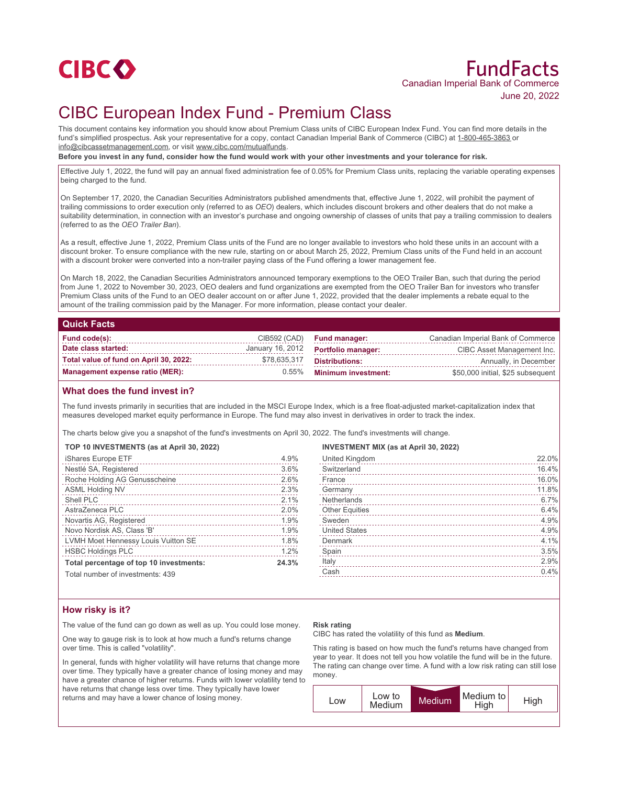

# FundFacts Canadian Imperial Bank of Commerce June 20, 2022

# CIBC European Index Fund - Premium Class

This document contains key information you should know about Premium Class units of CIBC European Index Fund. You can find more details in the fund's simplified prospectus. Ask your representative for a copy, contact Canadian Imperial Bank of Commerce (CIBC) at 1-800-465-3863 or info@cibcassetmanagement.com, or visit www.cibc.com/mutualfunds.

**Before you invest in any fund, consider how the fund would work with your other investments and your tolerance for risk.**

Effective July 1, 2022, the fund will pay an annual fixed administration fee of 0.05% for Premium Class units, replacing the variable operating expenses being charged to the fund.

On September 17, 2020, the Canadian Securities Administrators published amendments that, effective June 1, 2022, will prohibit the payment of trailing commissions to order execution only (referred to as *OEO*) dealers, which includes discount brokers and other dealers that do not make a suitability determination, in connection with an investor's purchase and ongoing ownership of classes of units that pay a trailing commission to dealers (referred to as the *OEO Trailer Ban*).

As a result, effective June 1, 2022, Premium Class units of the Fund are no longer available to investors who hold these units in an account with a discount broker. To ensure compliance with the new rule, starting on or about March 25, 2022, Premium Class units of the Fund held in an account with a discount broker were converted into a non-trailer paying class of the Fund offering a lower management fee.

On March 18, 2022, the Canadian Securities Administrators announced temporary exemptions to the OEO Trailer Ban, such that during the period from June 1, 2022 to November 30, 2023, OEO dealers and fund organizations are exempted from the OEO Trailer Ban for investors who transfer Premium Class units of the Fund to an OEO dealer account on or after June 1, 2022, provided that the dealer implements a rebate equal to the amount of the trailing commission paid by the Manager. For more information, please contact your dealer.

## **Quick Facts**

| Fund code(s):                          |              | CIB592 (CAD) Fund manager:                 | Canadian Imperial Bank of Commerce |
|----------------------------------------|--------------|--------------------------------------------|------------------------------------|
| Date class started:                    |              | January 16, 2012 <b>Portfolio manager:</b> | CIBC Asset Management Inc.         |
| Total value of fund on April 30, 2022: | \$78,635,317 | Distributions:                             | Annually, in December              |
| Management expense ratio (MER):        | $0.55\%$     | <b>Minimum investment:</b>                 | \$50,000 initial, \$25 subsequent  |

## **What does the fund invest in?**

The fund invests primarily in securities that are included in the MSCI Europe Index, which is a free float-adjusted market-capitalization index that measures developed market equity performance in Europe. The fund may also invest in derivatives in order to track the index.

The charts below give you a snapshot of the fund's investments on April 30, 2022. The fund's investments will change.

| TOP 10 INVESTMENTS (as at April 30, 2022) |  |  |
|-------------------------------------------|--|--|
|-------------------------------------------|--|--|

| iShares Europe ETF                      | 4.9%  |
|-----------------------------------------|-------|
| Nestlé SA, Registered                   | 3.6%  |
| Roche Holding AG Genusscheine           | 2.6%  |
| <b>ASML Holding NV</b>                  | 2.3%  |
| Shell PLC                               | 2.1%  |
| AstraZeneca PLC                         | 2.0%  |
| Novartis AG, Registered                 | 1.9%  |
| Novo Nordisk AS, Class 'B'              | 1.9%  |
| LVMH Moet Hennessy Louis Vuitton SE     | 1.8%  |
| <b>HSBC Holdings PLC</b>                | 1.2%  |
| Total percentage of top 10 investments: | 24.3% |
| Total number of investments: 130        |       |

al number of investments: 4

#### **INVESTMENT MIX (as at April 30, 2022)**

| United Kingdom        | 22.0% |
|-----------------------|-------|
| Switzerland           | 16.4% |
| France                | 16.0% |
| Germany               | 11.8% |
| Netherlands           | 6.7%  |
| <b>Other Equities</b> | 6.4%  |
| Sweden                | 4.9%  |
| <b>United States</b>  | 4.9%  |
| Denmark               | 4.1%  |
| Spain                 | 3.5%  |
| Italy                 | 2.9%  |
| Cash                  | 0.4%  |
|                       |       |

## **How risky is it?**

The value of the fund can go down as well as up. You could lose money.

One way to gauge risk is to look at how much a fund's returns change over time. This is called "volatility".

In general, funds with higher volatility will have returns that change more over time. They typically have a greater chance of losing money and may have a greater chance of higher returns. Funds with lower volatility tend to have returns that change less over time. They typically have lower returns and may have a lower chance of losing money.

#### **Risk rating**

CIBC has rated the volatility of this fund as **Medium**.

This rating is based on how much the fund's returns have changed from year to year. It does not tell you how volatile the fund will be in the future. The rating can change over time. A fund with a low risk rating can still lose money.

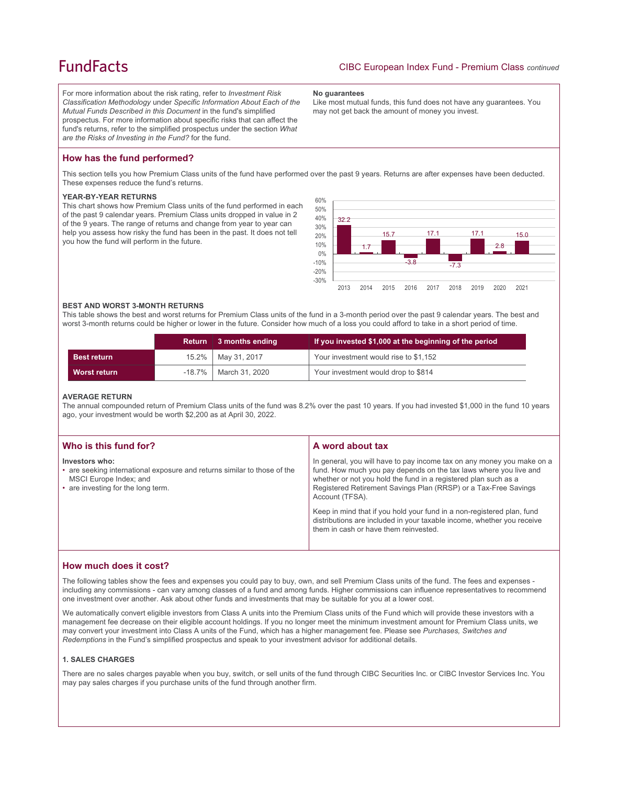## **FundFacts**

For more information about the risk rating, refer to *Investment Risk Classification Methodology* under *Specific Information About Each of the Mutual Funds Described in this Document* in the fund's simplified prospectus. For more information about specific risks that can affect the fund's returns, refer to the simplified prospectus under the section *What are the Risks of Investing in the Fund?* for the fund.

#### **No guarantees**

Like most mutual funds, this fund does not have any guarantees. You may not get back the amount of money you invest.

## **How has the fund performed?**

This section tells you how Premium Class units of the fund have performed over the past 9 years. Returns are after expenses have been deducted. These expenses reduce the fund's returns.

#### **YEAR-BY-YEAR RETURNS**

This chart shows how Premium Class units of the fund performed in each of the past 9 calendar years. Premium Class units dropped in value in 2 of the 9 years. The range of returns and change from year to year can help you assess how risky the fund has been in the past. It does not tell you how the fund will perform in the future.



#### **BEST AND WORST 3-MONTH RETURNS**

This table shows the best and worst returns for Premium Class units of the fund in a 3-month period over the past 9 calendar years. The best and worst 3-month returns could be higher or lower in the future. Consider how much of a loss you could afford to take in a short period of time.

|                     | <b>Return</b> | $\vert$ 3 months ending | If you invested \$1,000 at the beginning of the period |
|---------------------|---------------|-------------------------|--------------------------------------------------------|
| <b>Best return</b>  |               | 15.2%   May 31, 2017    | Your investment would rise to \$1,152                  |
| <b>Worst return</b> |               | -18.7%   March 31, 2020 | Your investment would drop to \$814                    |

#### **AVERAGE RETURN**

The annual compounded return of Premium Class units of the fund was 8.2% over the past 10 years. If you had invested \$1,000 in the fund 10 years ago, your investment would be worth \$2,200 as at April 30, 2022.

| Who is this fund for?                                                                                                                                      | A word about tax                                                                                                                                                                                                                                                                                     |
|------------------------------------------------------------------------------------------------------------------------------------------------------------|------------------------------------------------------------------------------------------------------------------------------------------------------------------------------------------------------------------------------------------------------------------------------------------------------|
| Investors who:<br>• are seeking international exposure and returns similar to those of the<br>MSCI Europe Index; and<br>• are investing for the long term. | In general, you will have to pay income tax on any money you make on a<br>fund. How much you pay depends on the tax laws where you live and<br>whether or not you hold the fund in a registered plan such as a<br>Registered Retirement Savings Plan (RRSP) or a Tax-Free Savings<br>Account (TFSA). |
|                                                                                                                                                            | Keep in mind that if you hold your fund in a non-registered plan, fund<br>distributions are included in your taxable income, whether you receive<br>them in cash or have them reinvested.                                                                                                            |

## **How much does it cost?**

The following tables show the fees and expenses you could pay to buy, own, and sell Premium Class units of the fund. The fees and expenses including any commissions - can vary among classes of a fund and among funds. Higher commissions can influence representatives to recommend one investment over another. Ask about other funds and investments that may be suitable for you at a lower cost.

We automatically convert eligible investors from Class A units into the Premium Class units of the Fund which will provide these investors with a management fee decrease on their eligible account holdings. If you no longer meet the minimum investment amount for Premium Class units, we may convert your investment into Class A units of the Fund, which has a higher management fee. Please see *Purchases, Switches and Redemptions* in the Fund's simplified prospectus and speak to your investment advisor for additional details.

### **1. SALES CHARGES**

There are no sales charges payable when you buy, switch, or sell units of the fund through CIBC Securities Inc. or CIBC Investor Services Inc. You may pay sales charges if you purchase units of the fund through another firm.